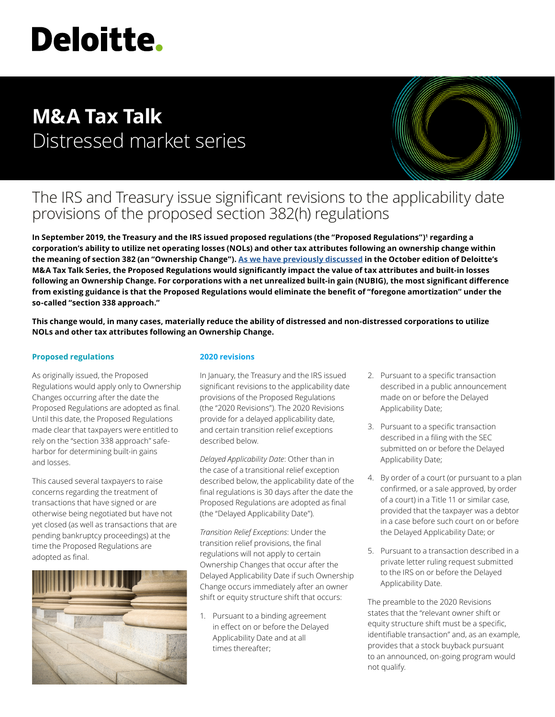# **Deloitte.**

# **M&A Tax Talk** Distressed market series



## The IRS and Treasury issue significant revisions to the applicability date provisions of the proposed section 382(h) regulations

**In September 2019, the Treasury and the IRS issued proposed regulations (the "Proposed Regulations")1 regarding a corporation's ability to utilize net operating losses (NOLs) and other tax attributes following an ownership change within the meaning of section 382 (an "Ownership Change"). [As we have previously discussed](https://www2.deloitte.com/content/dam/Deloitte/us/Documents/Tax/us-tax-ma-talk-october.pdf) in the October edition of Deloitte's M&A Tax Talk Series, the Proposed Regulations would significantly impact the value of tax attributes and built-in losses following an Ownership Change. For corporations with a net unrealized built-in gain (NUBIG), the most significant difference from existing guidance is that the Proposed Regulations would eliminate the benefit of "foregone amortization" under the so-called "section 338 approach."** 

**This change would, in many cases, materially reduce the ability of distressed and non-distressed corporations to utilize NOLs and other tax attributes following an Ownership Change.**

#### **Proposed regulations**

As originally issued, the Proposed Regulations would apply only to Ownership Changes occurring after the date the Proposed Regulations are adopted as final. Until this date, the Proposed Regulations made clear that taxpayers were entitled to rely on the "section 338 approach" safeharbor for determining built-in gains and losses.

This caused several taxpayers to raise concerns regarding the treatment of transactions that have signed or are otherwise being negotiated but have not yet closed (as well as transactions that are pending bankruptcy proceedings) at the time the Proposed Regulations are adopted as final.



#### **2020 revisions**

In January, the Treasury and the IRS issued significant revisions to the applicability date provisions of the Proposed Regulations (the "2020 Revisions"). The 2020 Revisions provide for a delayed applicability date, and certain transition relief exceptions described below.

*Delayed Applicability Date*: Other than in the case of a transitional relief exception described below, the applicability date of the final regulations is 30 days after the date the Proposed Regulations are adopted as final (the "Delayed Applicability Date").

*Transition Relief Exceptions*: Under the transition relief provisions, the final regulations will not apply to certain Ownership Changes that occur after the Delayed Applicability Date if such Ownership Change occurs immediately after an owner shift or equity structure shift that occurs:

1. Pursuant to a binding agreement in effect on or before the Delayed Applicability Date and at all times thereafter;

- 2. Pursuant to a specific transaction described in a public announcement made on or before the Delayed Applicability Date;
- 3. Pursuant to a specific transaction described in a filing with the SEC submitted on or before the Delayed Applicability Date;
- 4. By order of a court (or pursuant to a plan confirmed, or a sale approved, by order of a court) in a Title 11 or similar case, provided that the taxpayer was a debtor in a case before such court on or before the Delayed Applicability Date; or
- 5. Pursuant to a transaction described in a private letter ruling request submitted to the IRS on or before the Delayed Applicability Date.

The preamble to the 2020 Revisions states that the "relevant owner shift or equity structure shift must be a specific, identifiable transaction" and, as an example, provides that a stock buyback pursuant to an announced, on-going program would not qualify.